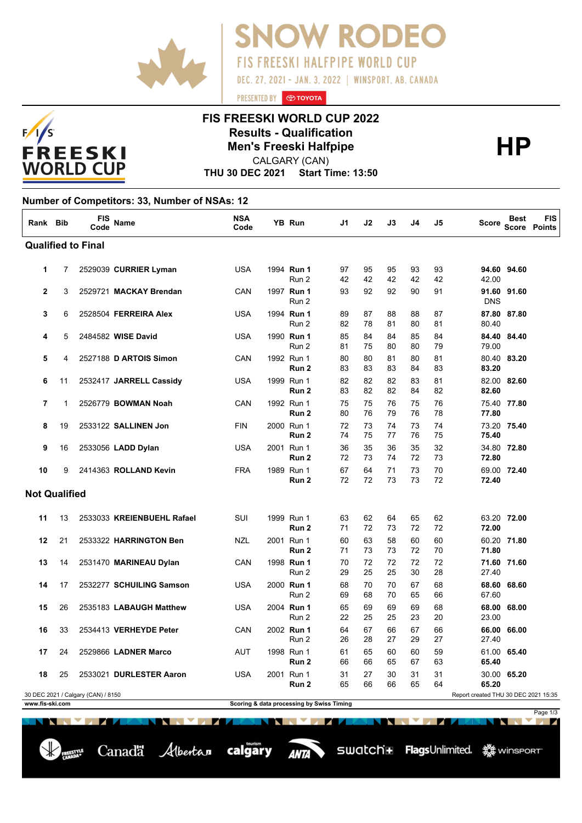



CALGARY (CAN)

**OW RODEO** 

**FIS FREESKI HALFPIPE WORLD CUP** 

DEC. 27, 2021 - JAN. 3, 2022 | WINSPORT, AB. CANADA

**THU 30 DEC 2021 Start Time: 13:50**

PRESENTED BY **O TOYOTA** 

**Number of Competitors: 33, Number of NSAs: 12**

 $F/I/S$ 

| Rank Bib                                                                                                                                   |    | <b>FIS</b><br>Code | Name                       | <b>NSA</b><br>Code |  | <b>YB Run</b>                                 | J1          | J2       | J3       | J4       | J5       | <b>Score</b> | <b>Best</b>              | <b>FIS</b><br>Score Points |
|--------------------------------------------------------------------------------------------------------------------------------------------|----|--------------------|----------------------------|--------------------|--|-----------------------------------------------|-------------|----------|----------|----------|----------|--------------|--------------------------|----------------------------|
| <b>Qualified to Final</b>                                                                                                                  |    |                    |                            |                    |  |                                               |             |          |          |          |          |              |                          |                            |
| $\mathbf{1}$                                                                                                                               | 7  |                    | 2529039 CURRIER Lyman      | <b>USA</b>         |  | 1994 Run 1<br>Run 2                           | 97<br>42    | 95<br>42 | 95<br>42 | 93<br>42 | 93<br>42 | 42.00        | 94.60 94.60              |                            |
| $\mathbf{2}$                                                                                                                               | 3  |                    | 2529721 MACKAY Brendan     | CAN                |  | 1997 Run 1<br>Run 2                           | 93          | 92       | 92       | 90       | 91       | <b>DNS</b>   | 91.60 91.60              |                            |
| 3                                                                                                                                          | 6  |                    | 2528504 FERREIRA Alex      | <b>USA</b>         |  | 1994 Run 1<br>Run 2                           | 89<br>82    | 87<br>78 | 88<br>81 | 88<br>80 | 87<br>81 | 80.40        | 87.80 87.80              |                            |
| 4                                                                                                                                          | 5  |                    | 2484582 WISE David         | <b>USA</b>         |  | 1990 Run 1<br>Run 2                           | 85<br>81    | 84<br>75 | 84<br>80 | 85<br>80 | 84<br>79 | 79.00        | 84.40 84.40              |                            |
| 5                                                                                                                                          | 4  |                    | 2527188 D ARTOIS Simon     | CAN                |  | 1992 Run 1<br>Run 2                           | 80<br>83    | 80<br>83 | 81<br>83 | 80<br>84 | 81<br>83 | 83.20        | 80.40 83.20              |                            |
| 6                                                                                                                                          | 11 |                    | 2532417 JARRELL Cassidy    | <b>USA</b>         |  | 1999 Run 1<br>Run <sub>2</sub>                | 82<br>83    | 82<br>82 | 82<br>82 | 83<br>84 | 81<br>82 | 82.60        | 82.00 82.60              |                            |
| $\overline{7}$                                                                                                                             | 1  |                    | 2526779 BOWMAN Noah        | CAN                |  | 1992 Run 1<br>Run <sub>2</sub>                | 75<br>80    | 75<br>76 | 76<br>79 | 75<br>76 | 76<br>78 | 77.80        | 75.40 77.80              |                            |
| 8                                                                                                                                          | 19 |                    | 2533122 SALLINEN Jon       | <b>FIN</b>         |  | 2000 Run 1<br>Run 2                           | 72<br>74    | 73<br>75 | 74<br>77 | 73<br>76 | 74<br>75 | 75.40        | 73.20 75.40              |                            |
| 9                                                                                                                                          | 16 |                    | 2533056 LADD Dylan         | <b>USA</b>         |  | 2001 Run 1<br>Run <sub>2</sub>                | 36<br>72    | 35<br>73 | 36<br>74 | 35<br>72 | 32<br>73 | 72.80        | 34.80 72.80              |                            |
| 10                                                                                                                                         | 9  |                    | 2414363 ROLLAND Kevin      | <b>FRA</b>         |  | 1989 Run 1<br>Run 2                           | 67<br>72    | 64<br>72 | 71<br>73 | 73<br>73 | 70<br>72 | 72.40        | 69.00 72.40              |                            |
| <b>Not Qualified</b>                                                                                                                       |    |                    |                            |                    |  |                                               |             |          |          |          |          |              |                          |                            |
| 11                                                                                                                                         | 13 |                    | 2533033 KREIENBUEHL Rafael | <b>SUI</b>         |  | 1999 Run 1<br>Run <sub>2</sub>                | 63<br>71    | 62<br>72 | 64<br>73 | 65<br>72 | 62<br>72 | 72.00        | 63.20 72.00              |                            |
| 12                                                                                                                                         | 21 |                    | 2533322 HARRINGTON Ben     | NZL                |  | 2001 Run 1<br>Run <sub>2</sub>                | 60<br>71    | 63<br>73 | 58<br>73 | 60<br>72 | 60<br>70 | 71.80        | 60.20 71.80              |                            |
| 13                                                                                                                                         | 14 |                    | 2531470 MARINEAU Dylan     | CAN                |  | 1998 Run 1<br>Run 2                           | 70<br>29    | 72<br>25 | 72<br>25 | 72<br>30 | 72<br>28 | 27.40        | 71.60 71.60              |                            |
| 14                                                                                                                                         | 17 |                    | 2532277 SCHUILING Samson   | <b>USA</b>         |  | 2000 Run 1<br>Run 2                           | 68<br>69    | 70<br>68 | 70<br>70 | 67<br>65 | 68<br>66 | 67.60        | 68.60 68.60              |                            |
| 15                                                                                                                                         | 26 |                    | 2535183 LABAUGH Matthew    | <b>USA</b>         |  | 2004 Run 1<br>Run 2                           | 65<br>22    | 69<br>25 | 69<br>25 | 69<br>23 | 68<br>20 | 23.00        | 68.00 68.00              |                            |
| 16                                                                                                                                         | 33 |                    | 2534413 VERHEYDE Peter     | CAN                |  | 2002 Run 1<br>Run 2                           | 64<br>26    | 67<br>28 | 66<br>27 | 67<br>29 | 66<br>27 | 27.40        | 66.00 66.00              |                            |
| 17                                                                                                                                         | 24 |                    | 2529866 LADNER Marco       | <b>AUT</b>         |  | 1998 Run 1<br>Run 2                           | 61<br>66    | 65<br>66 | 60<br>65 | 60<br>67 | 59<br>63 | 65.40        | 61.00 65.40              |                            |
| 18                                                                                                                                         | 25 |                    | 2533021 DURLESTER Aaron    | USA                |  | 2001 Run 1<br>Run <sub>2</sub>                | 31<br>65    | 27<br>66 | 30<br>66 | 31<br>65 | 31<br>64 | 65.20        | 30.00 65.20              |                            |
| 30 DEC 2021 / Calgary (CAN) / 8150<br>Report created THU 30 DEC 2021 15:35<br>www.fis-ski.com<br>Scoring & data processing by Swiss Timing |    |                    |                            |                    |  |                                               |             |          |          |          |          |              |                          |                            |
|                                                                                                                                            |    |                    |                            |                    |  |                                               |             |          |          |          |          |              |                          | Page 1/3                   |
|                                                                                                                                            |    | EN NEW YORK        |                            | 78 Z               |  | <b>North Commercial Commercial Commercial</b> | <b>1767</b> |          |          |          |          | N            | <b>The Second Second</b> | 71                         |

ANTA

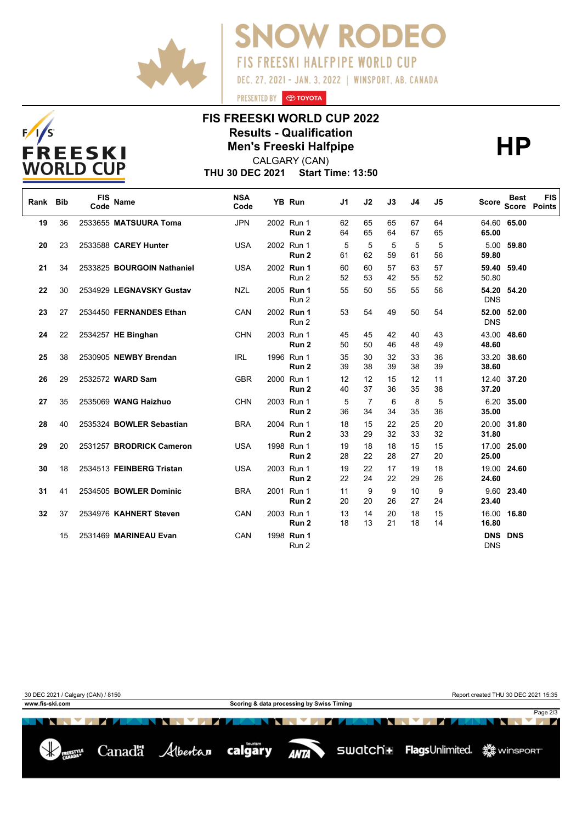



PRESENTED BY **O TOYOTA** 



## **FIS FREESKI WORLD CUP 2022 Results - Qualification<br>
Men's Freeski Halfpipe<br>
CALGARY (CAN)**

CALGARY (CAN)

**THU 30 DEC 2021 Start Time: 13:50**

| Rank Bib |    | <b>FIS</b><br>Code | <b>Name</b>                | <b>NSA</b><br>Code | <b>YB Run</b>                  | J1       | J2       | J3       | J4       | J5       | <b>Score</b>             | <b>Best</b><br><b>Score</b> | <b>FIS</b><br><b>Points</b> |
|----------|----|--------------------|----------------------------|--------------------|--------------------------------|----------|----------|----------|----------|----------|--------------------------|-----------------------------|-----------------------------|
| 19       | 36 |                    | 2533655 MATSUURA Toma      | <b>JPN</b>         | 2002 Run 1<br>Run <sub>2</sub> | 62<br>64 | 65<br>65 | 65<br>64 | 67<br>67 | 64<br>65 | 65.00                    | 64.60 65.00                 |                             |
| 20       | 23 |                    | 2533588 CAREY Hunter       | <b>USA</b>         | 2002 Run 1<br>Run <sub>2</sub> | 5<br>61  | 5<br>62  | 5<br>59  | 5<br>61  | 5<br>56  | 5.00<br>59.80            | 59.80                       |                             |
| 21       | 34 |                    | 2533825 BOURGOIN Nathaniel | <b>USA</b>         | 2002 Run 1<br>Run 2            | 60<br>52 | 60<br>53 | 57<br>42 | 63<br>55 | 57<br>52 | 59.40<br>50.80           | 59.40                       |                             |
| 22       | 30 |                    | 2534929 LEGNAVSKY Gustav   | <b>NZL</b>         | 2005 Run 1<br>Run 2            | 55       | 50       | 55       | 55       | 56       | <b>DNS</b>               | 54.20 54.20                 |                             |
| 23       | 27 |                    | 2534450 FERNANDES Ethan    | CAN                | 2002 Run 1<br>Run 2            | 53       | 54       | 49       | 50       | 54       | <b>DNS</b>               | 52.00 52.00                 |                             |
| 24       | 22 |                    | 2534257 HE Binghan         | <b>CHN</b>         | 2003 Run 1<br>Run 2            | 45<br>50 | 45<br>50 | 42<br>46 | 40<br>48 | 43<br>49 | 43.00<br>48.60           | 48.60                       |                             |
| 25       | 38 |                    | 2530905 NEWBY Brendan      | <b>IRL</b>         | 1996 Run 1<br>Run <sub>2</sub> | 35<br>39 | 30<br>38 | 32<br>39 | 33<br>38 | 36<br>39 | 33.20<br>38.60           | 38.60                       |                             |
| 26       | 29 |                    | 2532572 WARD Sam           | <b>GBR</b>         | 2000 Run 1<br>Run <sub>2</sub> | 12<br>40 | 12<br>37 | 15<br>36 | 12<br>35 | 11<br>38 | 37.20                    | 12.40 37.20                 |                             |
| 27       | 35 |                    | 2535069 WANG Haizhuo       | <b>CHN</b>         | 2003 Run 1<br>Run <sub>2</sub> | 5<br>36  | 7<br>34  | 6<br>34  | 8<br>35  | 5<br>36  | 35.00                    | 6.20 35.00                  |                             |
| 28       | 40 |                    | 2535324 BOWLER Sebastian   | <b>BRA</b>         | 2004 Run 1<br>Run 2            | 18<br>33 | 15<br>29 | 22<br>32 | 25<br>33 | 20<br>32 | 20.00<br>31.80           | 31.80                       |                             |
| 29       | 20 |                    | 2531257 BRODRICK Cameron   | <b>USA</b>         | 1998 Run 1<br>Run <sub>2</sub> | 19<br>28 | 18<br>22 | 18<br>28 | 15<br>27 | 15<br>20 | 25.00                    | 17.00 25.00                 |                             |
| 30       | 18 |                    | 2534513 FEINBERG Tristan   | <b>USA</b>         | 2003 Run 1<br>Run <sub>2</sub> | 19<br>22 | 22<br>24 | 17<br>22 | 19<br>29 | 18<br>26 | 19.00<br>24.60           | 24.60                       |                             |
| 31       | 41 |                    | 2534505 BOWLER Dominic     | <b>BRA</b>         | 2001 Run 1<br>Run 2            | 11<br>20 | 9<br>20  | 9<br>26  | 10<br>27 | 9<br>24  | 23.40                    | 9.60 23.40                  |                             |
| 32       | 37 |                    | 2534976 KAHNERT Steven     | CAN                | 2003 Run 1<br>Run <sub>2</sub> | 13<br>18 | 14<br>13 | 20<br>21 | 18<br>18 | 15<br>14 | 16.00<br>16.80           | 16.80                       |                             |
|          | 15 |                    | 2531469 MARINEAU Evan      | CAN                | 1998 Run 1<br>Run 2            |          |          |          |          |          | <b>DNS</b><br><b>DNS</b> | <b>DNS</b>                  |                             |